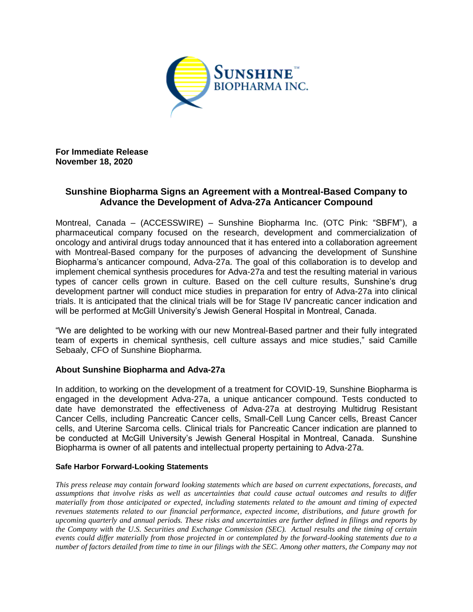

**For Immediate Release November 18, 2020**

## **Sunshine Biopharma Signs an Agreement with a Montreal-Based Company to Advance the Development of Adva-27a Anticancer Compound**

Montreal, Canada – (ACCESSWIRE) – Sunshine Biopharma Inc. (OTC Pink: "SBFM"), a pharmaceutical company focused on the research, development and commercialization of oncology and antiviral drugs today announced that it has entered into a collaboration agreement with Montreal-Based company for the purposes of advancing the development of Sunshine Biopharma's anticancer compound, Adva-27a. The goal of this collaboration is to develop and implement chemical synthesis procedures for Adva-27a and test the resulting material in various types of cancer cells grown in culture. Based on the cell culture results, Sunshine's drug development partner will conduct mice studies in preparation for entry of Adva-27a into clinical trials. It is anticipated that the clinical trials will be for Stage IV pancreatic cancer indication and will be performed at McGill University's Jewish General Hospital in Montreal, Canada.

"We are delighted to be working with our new Montreal-Based partner and their fully integrated team of experts in chemical synthesis, cell culture assays and mice studies," said Camille Sebaaly, CFO of Sunshine Biopharma.

## **About Sunshine Biopharma and Adva-27a**

In addition, to working on the development of a treatment for COVID-19, Sunshine Biopharma is engaged in the development Adva-27a, a unique anticancer compound. Tests conducted to date have demonstrated the effectiveness of Adva-27a at destroying Multidrug Resistant Cancer Cells, including Pancreatic Cancer cells, Small-Cell Lung Cancer cells, Breast Cancer cells, and Uterine Sarcoma cells. Clinical trials for Pancreatic Cancer indication are planned to be conducted at McGill University's Jewish General Hospital in Montreal, Canada. Sunshine Biopharma is owner of all patents and intellectual property pertaining to Adva-27a.

## **Safe Harbor Forward-Looking Statements**

*This press release may contain forward looking statements which are based on current expectations, forecasts, and assumptions that involve risks as well as uncertainties that could cause actual outcomes and results to differ materially from those anticipated or expected, including statements related to the amount and timing of expected revenues statements related to our financial performance, expected income, distributions, and future growth for upcoming quarterly and annual periods. These risks and uncertainties are further defined in filings and reports by the Company with the U.S. Securities and Exchange Commission (SEC). Actual results and the timing of certain events could differ materially from those projected in or contemplated by the forward-looking statements due to a number of factors detailed from time to time in our filings with the SEC. Among other matters, the Company may not*